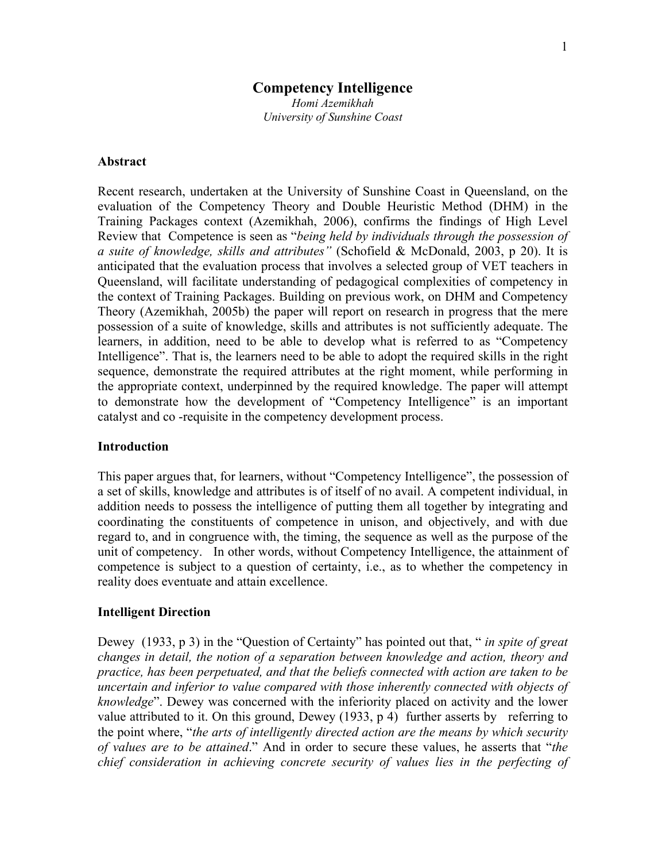# **Competency Intelligence**

*Homi Azemikhah University of Sunshine Coast* 

## **Abstract**

Recent research, undertaken at the University of Sunshine Coast in Queensland, on the evaluation of the Competency Theory and Double Heuristic Method (DHM) in the Training Packages context (Azemikhah, 2006), confirms the findings of High Level Review that Competence is seen as "*being held by individuals through the possession of a suite of knowledge, skills and attributes"* (Schofield & McDonald, 2003, p 20). It is anticipated that the evaluation process that involves a selected group of VET teachers in Queensland, will facilitate understanding of pedagogical complexities of competency in the context of Training Packages. Building on previous work, on DHM and Competency Theory (Azemikhah, 2005b) the paper will report on research in progress that the mere possession of a suite of knowledge, skills and attributes is not sufficiently adequate. The learners, in addition, need to be able to develop what is referred to as "Competency Intelligence". That is, the learners need to be able to adopt the required skills in the right sequence, demonstrate the required attributes at the right moment, while performing in the appropriate context, underpinned by the required knowledge. The paper will attempt to demonstrate how the development of "Competency Intelligence" is an important catalyst and co -requisite in the competency development process.

## **Introduction**

This paper argues that, for learners, without "Competency Intelligence", the possession of a set of skills, knowledge and attributes is of itself of no avail. A competent individual, in addition needs to possess the intelligence of putting them all together by integrating and coordinating the constituents of competence in unison, and objectively, and with due regard to, and in congruence with, the timing, the sequence as well as the purpose of the unit of competency. In other words, without Competency Intelligence, the attainment of competence is subject to a question of certainty, i.e., as to whether the competency in reality does eventuate and attain excellence.

## **Intelligent Direction**

Dewey (1933, p 3) in the "Question of Certainty" has pointed out that, " *in spite of great changes in detail, the notion of a separation between knowledge and action, theory and practice, has been perpetuated, and that the beliefs connected with action are taken to be uncertain and inferior to value compared with those inherently connected with objects of knowledge*". Dewey was concerned with the inferiority placed on activity and the lower value attributed to it. On this ground, Dewey (1933, p 4) further asserts by referring to the point where, "*the arts of intelligently directed action are the means by which security of values are to be attained*." And in order to secure these values, he asserts that "*the chief consideration in achieving concrete security of values lies in the perfecting of*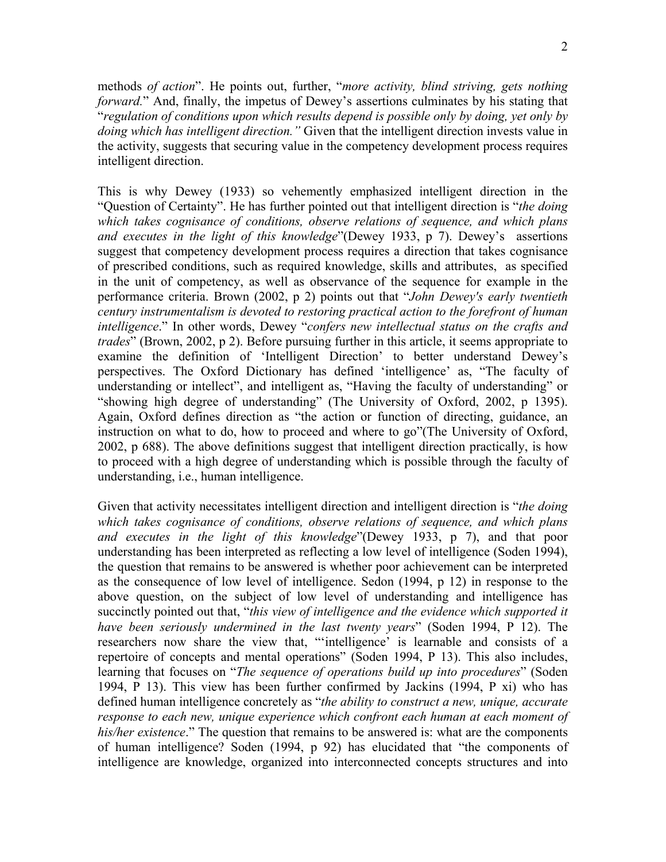methods *of action*". He points out, further, "*more activity, blind striving, gets nothing forward.*" And, finally, the impetus of Dewey's assertions culminates by his stating that "*regulation of conditions upon which results depend is possible only by doing, yet only by doing which has intelligent direction."* Given that the intelligent direction invests value in the activity, suggests that securing value in the competency development process requires intelligent direction.

This is why Dewey (1933) so vehemently emphasized intelligent direction in the "Question of Certainty". He has further pointed out that intelligent direction is "*the doing which takes cognisance of conditions, observe relations of sequence, and which plans and executes in the light of this knowledge*"(Dewey 1933, p 7). Dewey's assertions suggest that competency development process requires a direction that takes cognisance of prescribed conditions, such as required knowledge, skills and attributes, as specified in the unit of competency, as well as observance of the sequence for example in the performance criteria. Brown (2002, p 2) points out that "*John Dewey's early twentieth century instrumentalism is devoted to restoring practical action to the forefront of human intelligence*." In other words, Dewey "*confers new intellectual status on the crafts and trades*" (Brown, 2002, p 2). Before pursuing further in this article, it seems appropriate to examine the definition of 'Intelligent Direction' to better understand Dewey's perspectives. The Oxford Dictionary has defined 'intelligence' as, "The faculty of understanding or intellect", and intelligent as, "Having the faculty of understanding" or "showing high degree of understanding" (The University of Oxford, 2002, p 1395). Again, Oxford defines direction as "the action or function of directing, guidance, an instruction on what to do, how to proceed and where to go"(The University of Oxford, 2002, p 688). The above definitions suggest that intelligent direction practically, is how to proceed with a high degree of understanding which is possible through the faculty of understanding, i.e., human intelligence.

Given that activity necessitates intelligent direction and intelligent direction is "*the doing which takes cognisance of conditions, observe relations of sequence, and which plans and executes in the light of this knowledge*"(Dewey 1933, p 7), and that poor understanding has been interpreted as reflecting a low level of intelligence (Soden 1994), the question that remains to be answered is whether poor achievement can be interpreted as the consequence of low level of intelligence. Sedon (1994, p 12) in response to the above question, on the subject of low level of understanding and intelligence has succinctly pointed out that, "*this view of intelligence and the evidence which supported it have been seriously undermined in the last twenty years*" (Soden 1994, P 12). The researchers now share the view that, "'intelligence' is learnable and consists of a repertoire of concepts and mental operations" (Soden 1994, P 13). This also includes, learning that focuses on "*The sequence of operations build up into procedures*" (Soden 1994, P 13). This view has been further confirmed by Jackins (1994, P xi) who has defined human intelligence concretely as "*the ability to construct a new, unique, accurate response to each new, unique experience which confront each human at each moment of his/her existence*." The question that remains to be answered is: what are the components of human intelligence? Soden (1994, p 92) has elucidated that "the components of intelligence are knowledge, organized into interconnected concepts structures and into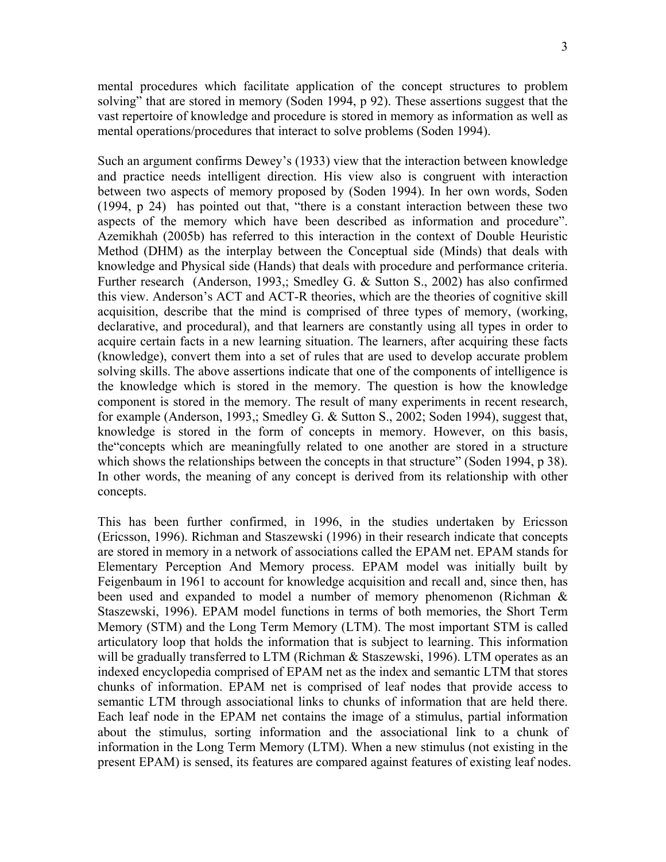mental procedures which facilitate application of the concept structures to problem solving" that are stored in memory (Soden 1994, p 92). These assertions suggest that the vast repertoire of knowledge and procedure is stored in memory as information as well as mental operations/procedures that interact to solve problems (Soden 1994).

Such an argument confirms Dewey's (1933) view that the interaction between knowledge and practice needs intelligent direction. His view also is congruent with interaction between two aspects of memory proposed by (Soden 1994). In her own words, Soden (1994, p 24) has pointed out that, "there is a constant interaction between these two aspects of the memory which have been described as information and procedure". Azemikhah (2005b) has referred to this interaction in the context of Double Heuristic Method (DHM) as the interplay between the Conceptual side (Minds) that deals with knowledge and Physical side (Hands) that deals with procedure and performance criteria. Further research (Anderson, 1993,; Smedley G. & Sutton S., 2002) has also confirmed this view. Anderson's ACT and ACT-R theories, which are the theories of cognitive skill acquisition, describe that the mind is comprised of three types of memory, (working, declarative, and procedural), and that learners are constantly using all types in order to acquire certain facts in a new learning situation. The learners, after acquiring these facts (knowledge), convert them into a set of rules that are used to develop accurate problem solving skills. The above assertions indicate that one of the components of intelligence is the knowledge which is stored in the memory. The question is how the knowledge component is stored in the memory. The result of many experiments in recent research, for example (Anderson, 1993,; Smedley G. & Sutton S., 2002; Soden 1994), suggest that, knowledge is stored in the form of concepts in memory. However, on this basis, the"concepts which are meaningfully related to one another are stored in a structure which shows the relationships between the concepts in that structure" (Soden 1994, p 38). In other words, the meaning of any concept is derived from its relationship with other concepts.

This has been further confirmed, in 1996, in the studies undertaken by Ericsson (Ericsson, 1996). Richman and Staszewski (1996) in their research indicate that concepts are stored in memory in a network of associations called the EPAM net. EPAM stands for Elementary Perception And Memory process. EPAM model was initially built by Feigenbaum in 1961 to account for knowledge acquisition and recall and, since then, has been used and expanded to model a number of memory phenomenon (Richman & Staszewski, 1996). EPAM model functions in terms of both memories, the Short Term Memory (STM) and the Long Term Memory (LTM). The most important STM is called articulatory loop that holds the information that is subject to learning. This information will be gradually transferred to LTM (Richman & Staszewski, 1996). LTM operates as an indexed encyclopedia comprised of EPAM net as the index and semantic LTM that stores chunks of information. EPAM net is comprised of leaf nodes that provide access to semantic LTM through associational links to chunks of information that are held there. Each leaf node in the EPAM net contains the image of a stimulus, partial information about the stimulus, sorting information and the associational link to a chunk of information in the Long Term Memory (LTM). When a new stimulus (not existing in the present EPAM) is sensed, its features are compared against features of existing leaf nodes.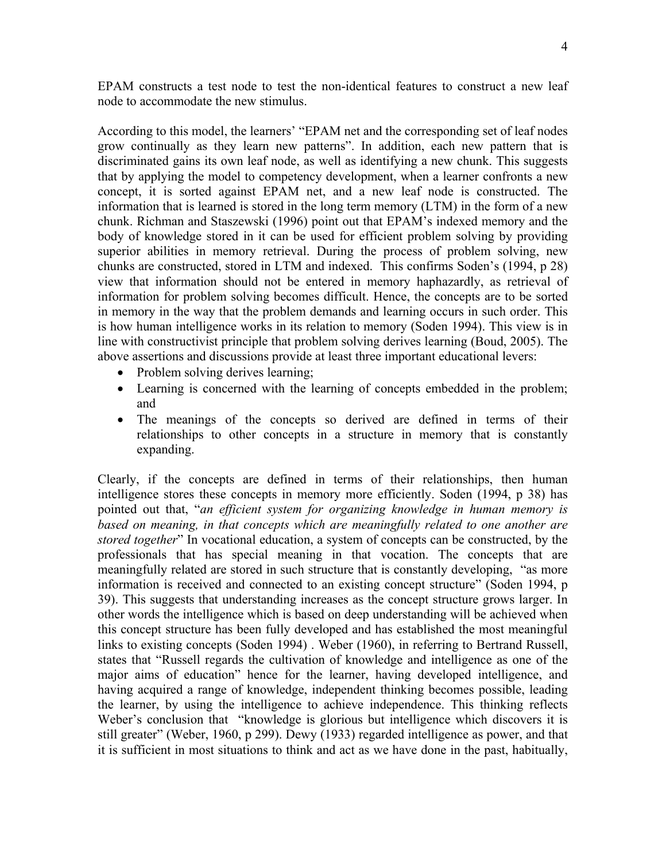EPAM constructs a test node to test the non-identical features to construct a new leaf node to accommodate the new stimulus.

According to this model, the learners' "EPAM net and the corresponding set of leaf nodes grow continually as they learn new patterns". In addition, each new pattern that is discriminated gains its own leaf node, as well as identifying a new chunk. This suggests that by applying the model to competency development, when a learner confronts a new concept, it is sorted against EPAM net, and a new leaf node is constructed. The information that is learned is stored in the long term memory (LTM) in the form of a new chunk. Richman and Staszewski (1996) point out that EPAM's indexed memory and the body of knowledge stored in it can be used for efficient problem solving by providing superior abilities in memory retrieval. During the process of problem solving, new chunks are constructed, stored in LTM and indexed. This confirms Soden's (1994, p 28) view that information should not be entered in memory haphazardly, as retrieval of information for problem solving becomes difficult. Hence, the concepts are to be sorted in memory in the way that the problem demands and learning occurs in such order. This is how human intelligence works in its relation to memory (Soden 1994). This view is in line with constructivist principle that problem solving derives learning (Boud, 2005). The above assertions and discussions provide at least three important educational levers:

- Problem solving derives learning;
- Learning is concerned with the learning of concepts embedded in the problem; and
- The meanings of the concepts so derived are defined in terms of their relationships to other concepts in a structure in memory that is constantly expanding.

Clearly, if the concepts are defined in terms of their relationships, then human intelligence stores these concepts in memory more efficiently. Soden (1994, p 38) has pointed out that, "*an efficient system for organizing knowledge in human memory is based on meaning, in that concepts which are meaningfully related to one another are stored together*" In vocational education, a system of concepts can be constructed, by the professionals that has special meaning in that vocation. The concepts that are meaningfully related are stored in such structure that is constantly developing, "as more information is received and connected to an existing concept structure" (Soden 1994, p 39). This suggests that understanding increases as the concept structure grows larger. In other words the intelligence which is based on deep understanding will be achieved when this concept structure has been fully developed and has established the most meaningful links to existing concepts (Soden 1994) . Weber (1960), in referring to Bertrand Russell, states that "Russell regards the cultivation of knowledge and intelligence as one of the major aims of education" hence for the learner, having developed intelligence, and having acquired a range of knowledge, independent thinking becomes possible, leading the learner, by using the intelligence to achieve independence. This thinking reflects Weber's conclusion that "knowledge is glorious but intelligence which discovers it is still greater" (Weber, 1960, p 299). Dewy (1933) regarded intelligence as power, and that it is sufficient in most situations to think and act as we have done in the past, habitually,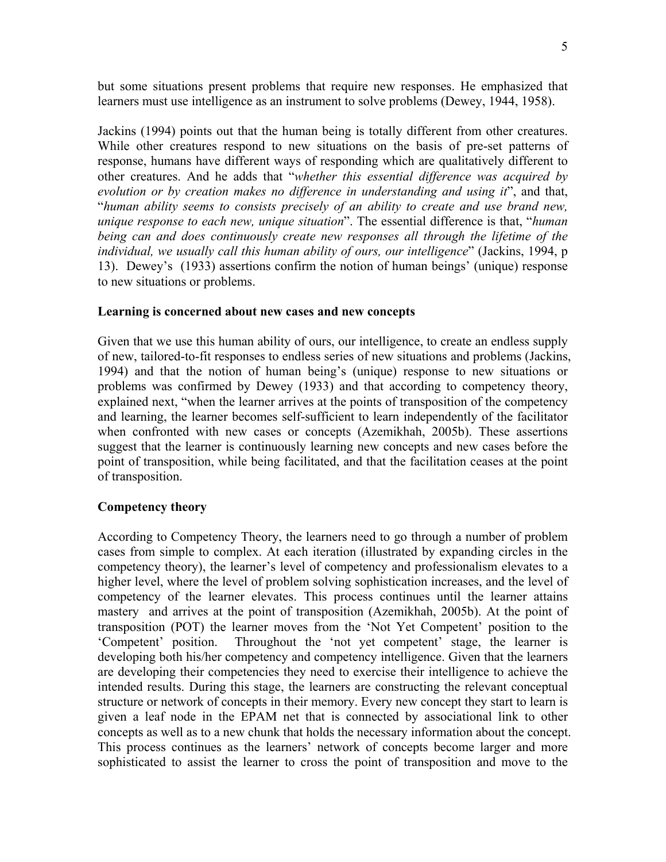but some situations present problems that require new responses. He emphasized that learners must use intelligence as an instrument to solve problems (Dewey, 1944, 1958).

Jackins (1994) points out that the human being is totally different from other creatures. While other creatures respond to new situations on the basis of pre-set patterns of response, humans have different ways of responding which are qualitatively different to other creatures. And he adds that "*whether this essential difference was acquired by evolution or by creation makes no difference in understanding and using it*", and that, "*human ability seems to consists precisely of an ability to create and use brand new, unique response to each new, unique situation*". The essential difference is that, "*human being can and does continuously create new responses all through the lifetime of the individual, we usually call this human ability of ours, our intelligence*" (Jackins, 1994, p 13). Dewey's (1933) assertions confirm the notion of human beings' (unique) response to new situations or problems.

## **Learning is concerned about new cases and new concepts**

Given that we use this human ability of ours, our intelligence, to create an endless supply of new, tailored-to-fit responses to endless series of new situations and problems (Jackins, 1994) and that the notion of human being's (unique) response to new situations or problems was confirmed by Dewey (1933) and that according to competency theory, explained next, "when the learner arrives at the points of transposition of the competency and learning, the learner becomes self-sufficient to learn independently of the facilitator when confronted with new cases or concepts (Azemikhah, 2005b). These assertions suggest that the learner is continuously learning new concepts and new cases before the point of transposition, while being facilitated, and that the facilitation ceases at the point of transposition.

## **Competency theory**

According to Competency Theory, the learners need to go through a number of problem cases from simple to complex. At each iteration (illustrated by expanding circles in the competency theory), the learner's level of competency and professionalism elevates to a higher level, where the level of problem solving sophistication increases, and the level of competency of the learner elevates. This process continues until the learner attains mastery and arrives at the point of transposition (Azemikhah, 2005b). At the point of transposition (POT) the learner moves from the 'Not Yet Competent' position to the 'Competent' position. Throughout the 'not yet competent' stage, the learner is developing both his/her competency and competency intelligence. Given that the learners are developing their competencies they need to exercise their intelligence to achieve the intended results. During this stage, the learners are constructing the relevant conceptual structure or network of concepts in their memory. Every new concept they start to learn is given a leaf node in the EPAM net that is connected by associational link to other concepts as well as to a new chunk that holds the necessary information about the concept. This process continues as the learners' network of concepts become larger and more sophisticated to assist the learner to cross the point of transposition and move to the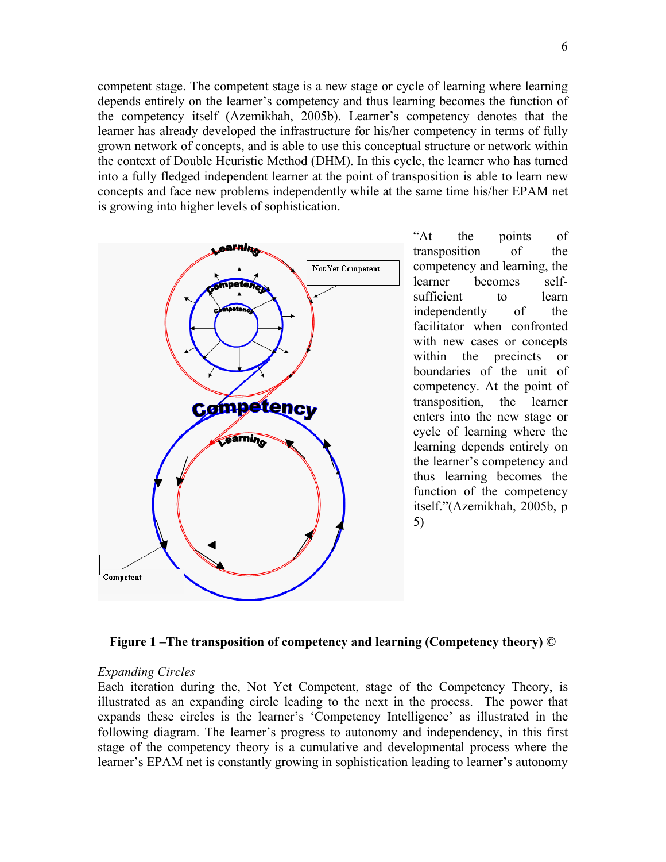competent stage. The competent stage is a new stage or cycle of learning where learning depends entirely on the learner's competency and thus learning becomes the function of the competency itself (Azemikhah, 2005b). Learner's competency denotes that the learner has already developed the infrastructure for his/her competency in terms of fully grown network of concepts, and is able to use this conceptual structure or network within the context of Double Heuristic Method (DHM). In this cycle, the learner who has turned into a fully fledged independent learner at the point of transposition is able to learn new concepts and face new problems independently while at the same time his/her EPAM net is growing into higher levels of sophistication.



"At the points of transposition of the competency and learning, the learner becomes selfsufficient to learn independently of the facilitator when confronted with new cases or concepts within the precincts or boundaries of the unit of competency. At the point of transposition, the learner enters into the new stage or cycle of learning where the learning depends entirely on the learner's competency and thus learning becomes the function of the competency itself."(Azemikhah, 2005b, p 5)



#### *Expanding Circles*

Each iteration during the, Not Yet Competent, stage of the Competency Theory, is illustrated as an expanding circle leading to the next in the process. The power that expands these circles is the learner's 'Competency Intelligence' as illustrated in the following diagram. The learner's progress to autonomy and independency, in this first stage of the competency theory is a cumulative and developmental process where the learner's EPAM net is constantly growing in sophistication leading to learner's autonomy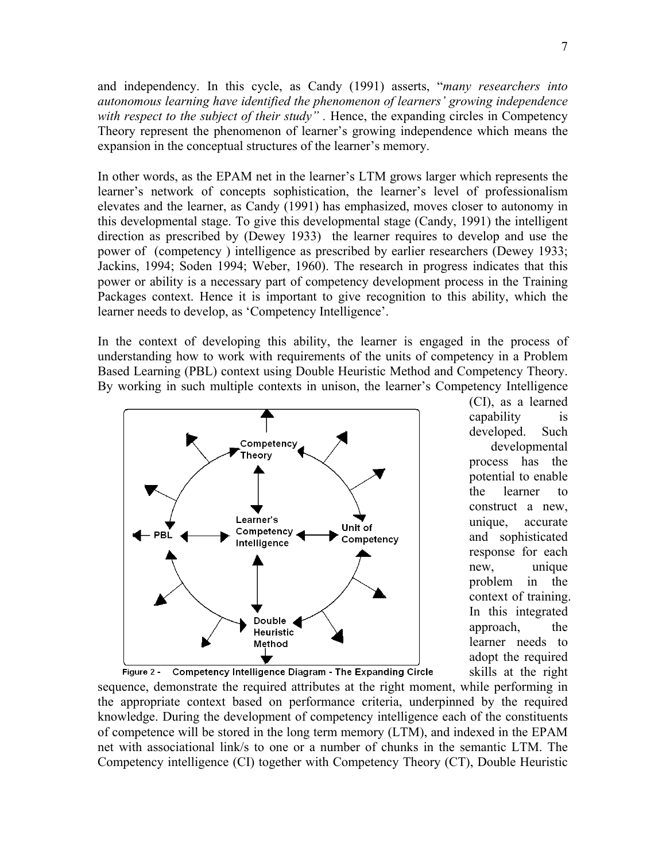and independency. In this cycle, as Candy (1991) asserts, "*many researchers into autonomous learning have identified the phenomenon of learners' growing independence with respect to the subject of their study*". Hence, the expanding circles in Competency Theory represent the phenomenon of learner's growing independence which means the expansion in the conceptual structures of the learner's memory.

In other words, as the EPAM net in the learner's LTM grows larger which represents the learner's network of concepts sophistication, the learner's level of professionalism elevates and the learner, as Candy (1991) has emphasized, moves closer to autonomy in this developmental stage. To give this developmental stage (Candy, 1991) the intelligent direction as prescribed by (Dewey 1933) the learner requires to develop and use the power of (competency ) intelligence as prescribed by earlier researchers (Dewey 1933; Jackins, 1994; Soden 1994; Weber, 1960). The research in progress indicates that this power or ability is a necessary part of competency development process in the Training Packages context. Hence it is important to give recognition to this ability, which the learner needs to develop, as 'Competency Intelligence'.

In the context of developing this ability, the learner is engaged in the process of understanding how to work with requirements of the units of competency in a Problem Based Learning (PBL) context using Double Heuristic Method and Competency Theory. By working in such multiple contexts in unison, the learner's Competency Intelligence



(CI), as a learned capability is developed. Such developmental process has the potential to enable the learner to construct a new, unique, accurate and sophisticated response for each new, unique problem in the context of training. In this integrated approach, the learner needs to adopt the required skills at the right

sequence, demonstrate the required attributes at the right moment, while performing in the appropriate context based on performance criteria, underpinned by the required knowledge. During the development of competency intelligence each of the constituents of competence will be stored in the long term memory (LTM), and indexed in the EPAM net with associational link/s to one or a number of chunks in the semantic LTM. The Competency intelligence (CI) together with Competency Theory (CT), Double Heuristic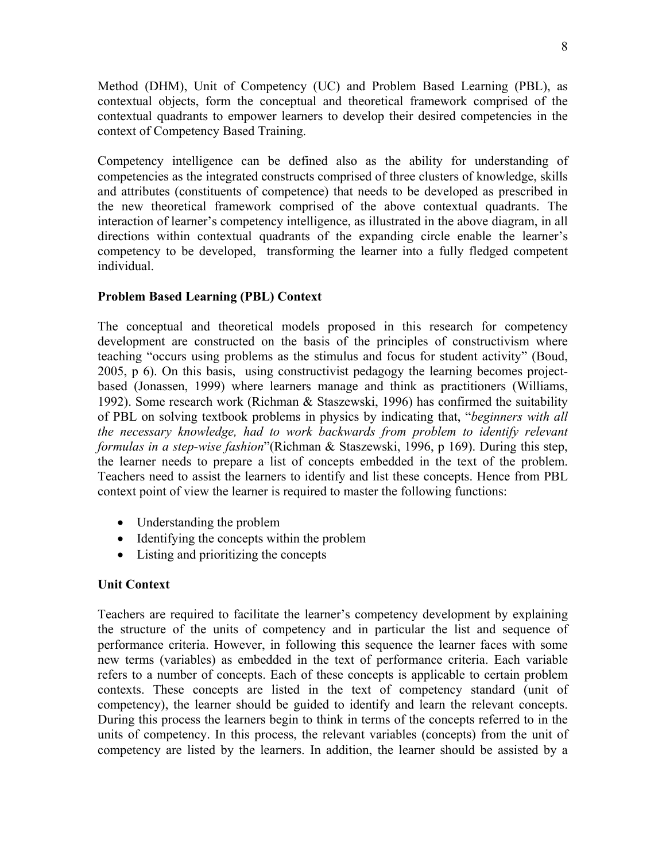Method (DHM), Unit of Competency (UC) and Problem Based Learning (PBL), as contextual objects, form the conceptual and theoretical framework comprised of the contextual quadrants to empower learners to develop their desired competencies in the context of Competency Based Training.

Competency intelligence can be defined also as the ability for understanding of competencies as the integrated constructs comprised of three clusters of knowledge, skills and attributes (constituents of competence) that needs to be developed as prescribed in the new theoretical framework comprised of the above contextual quadrants. The interaction of learner's competency intelligence, as illustrated in the above diagram, in all directions within contextual quadrants of the expanding circle enable the learner's competency to be developed, transforming the learner into a fully fledged competent individual.

## **Problem Based Learning (PBL) Context**

The conceptual and theoretical models proposed in this research for competency development are constructed on the basis of the principles of constructivism where teaching "occurs using problems as the stimulus and focus for student activity" (Boud, 2005, p 6). On this basis, using constructivist pedagogy the learning becomes projectbased (Jonassen, 1999) where learners manage and think as practitioners (Williams, 1992). Some research work (Richman & Staszewski, 1996) has confirmed the suitability of PBL on solving textbook problems in physics by indicating that, "*beginners with all the necessary knowledge, had to work backwards from problem to identify relevant formulas in a step-wise fashion*"(Richman & Staszewski, 1996, p 169). During this step, the learner needs to prepare a list of concepts embedded in the text of the problem. Teachers need to assist the learners to identify and list these concepts. Hence from PBL context point of view the learner is required to master the following functions:

- Understanding the problem
- Identifying the concepts within the problem
- Listing and prioritizing the concepts

## **Unit Context**

Teachers are required to facilitate the learner's competency development by explaining the structure of the units of competency and in particular the list and sequence of performance criteria. However, in following this sequence the learner faces with some new terms (variables) as embedded in the text of performance criteria. Each variable refers to a number of concepts. Each of these concepts is applicable to certain problem contexts. These concepts are listed in the text of competency standard (unit of competency), the learner should be guided to identify and learn the relevant concepts. During this process the learners begin to think in terms of the concepts referred to in the units of competency. In this process, the relevant variables (concepts) from the unit of competency are listed by the learners. In addition, the learner should be assisted by a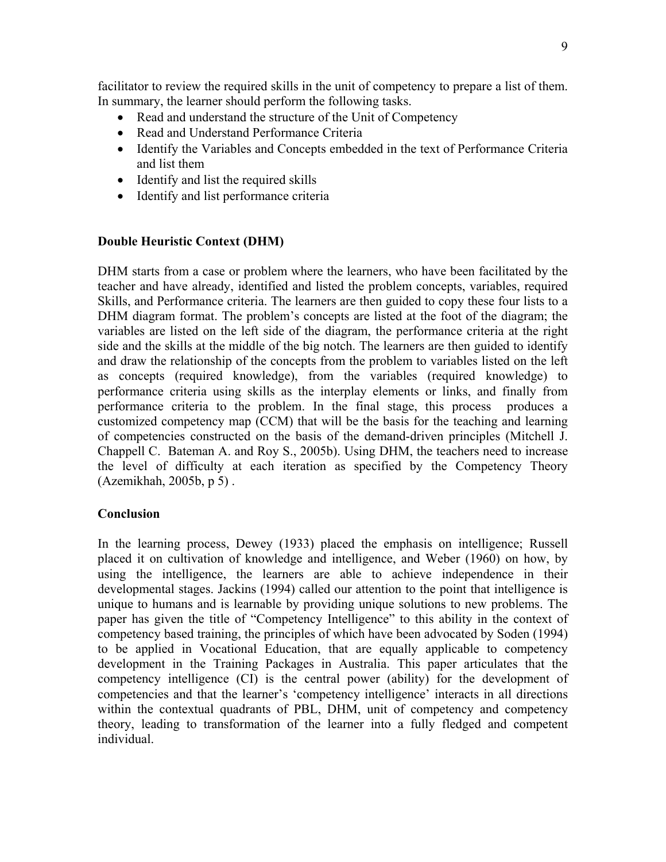facilitator to review the required skills in the unit of competency to prepare a list of them. In summary, the learner should perform the following tasks.

- Read and understand the structure of the Unit of Competency
- Read and Understand Performance Criteria
- Identify the Variables and Concepts embedded in the text of Performance Criteria and list them
- Identify and list the required skills
- Identify and list performance criteria

# **Double Heuristic Context (DHM)**

DHM starts from a case or problem where the learners, who have been facilitated by the teacher and have already, identified and listed the problem concepts, variables, required Skills, and Performance criteria. The learners are then guided to copy these four lists to a DHM diagram format. The problem's concepts are listed at the foot of the diagram; the variables are listed on the left side of the diagram, the performance criteria at the right side and the skills at the middle of the big notch. The learners are then guided to identify and draw the relationship of the concepts from the problem to variables listed on the left as concepts (required knowledge), from the variables (required knowledge) to performance criteria using skills as the interplay elements or links, and finally from performance criteria to the problem. In the final stage, this process produces a customized competency map (CCM) that will be the basis for the teaching and learning of competencies constructed on the basis of the demand-driven principles (Mitchell J. Chappell C. Bateman A. and Roy S., 2005b). Using DHM, the teachers need to increase the level of difficulty at each iteration as specified by the Competency Theory (Azemikhah, 2005b, p 5) .

# **Conclusion**

In the learning process, Dewey (1933) placed the emphasis on intelligence; Russell placed it on cultivation of knowledge and intelligence, and Weber (1960) on how, by using the intelligence, the learners are able to achieve independence in their developmental stages. Jackins (1994) called our attention to the point that intelligence is unique to humans and is learnable by providing unique solutions to new problems. The paper has given the title of "Competency Intelligence" to this ability in the context of competency based training, the principles of which have been advocated by Soden (1994) to be applied in Vocational Education, that are equally applicable to competency development in the Training Packages in Australia. This paper articulates that the competency intelligence (CI) is the central power (ability) for the development of competencies and that the learner's 'competency intelligence' interacts in all directions within the contextual quadrants of PBL, DHM, unit of competency and competency theory, leading to transformation of the learner into a fully fledged and competent individual.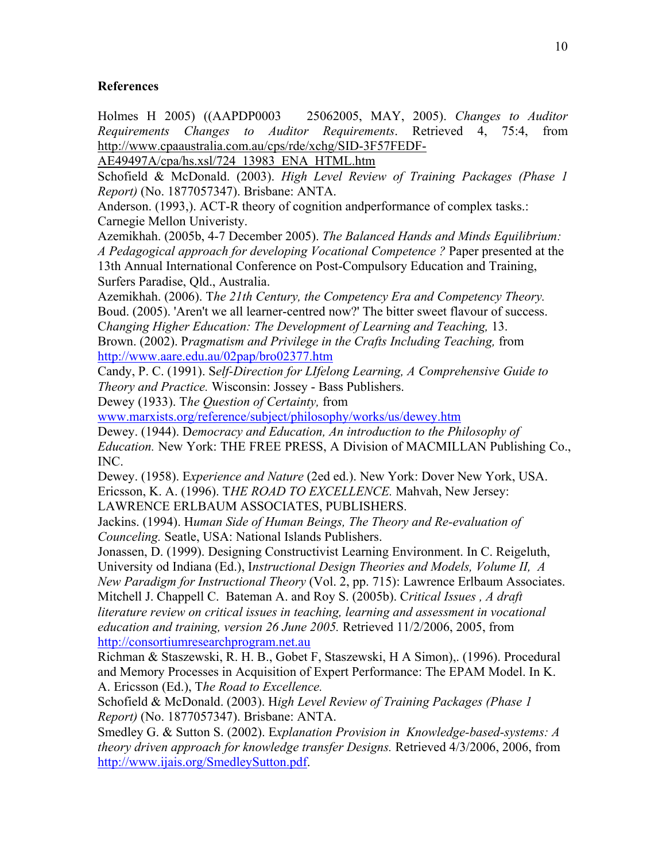## **References**

Holmes H 2005) ((AAPDP0003 25062005, MAY, 2005). *Changes to Auditor Requirements Changes to Auditor Requirements*. Retrieved 4, 75:4, from http://www.cpaaustralia.com.au/cps/rde/xchg/SID-3F57FEDF-

AE49497A/cpa/hs.xsl/724\_13983\_ENA\_HTML.htm

Schofield & McDonald. (2003). *High Level Review of Training Packages (Phase 1 Report)* (No. 1877057347). Brisbane: ANTA.

Anderson. (1993,). ACT-R theory of cognition andperformance of complex tasks.: Carnegie Mellon Univeristy.

Azemikhah. (2005b, 4-7 December 2005). *The Balanced Hands and Minds Equilibrium: A Pedagogical approach for developing Vocational Competence ?* Paper presented at the 13th Annual International Conference on Post-Compulsory Education and Training, Surfers Paradise, Qld., Australia.

Azemikhah. (2006). T*he 21th Century, the Competency Era and Competency Theory.* Boud. (2005). 'Aren't we all learner-centred now?' The bitter sweet flavour of success. C*hanging Higher Education: The Development of Learning and Teaching,* 13. Brown. (2002). P*ragmatism and Privilege in the Crafts Including Teaching,* from http://www.aare.edu.au/02pap/bro02377.htm

Candy, P. C. (1991). S*elf-Direction for LIfelong Learning, A Comprehensive Guide to Theory and Practice.* Wisconsin: Jossey - Bass Publishers.

Dewey (1933). T*he Question of Certainty,* from

www.marxists.org/reference/subject/philosophy/works/us/dewey.htm

Dewey. (1944). D*emocracy and Education, An introduction to the Philosophy of Education.* New York: THE FREE PRESS, A Division of MACMILLAN Publishing Co., INC.

Dewey. (1958). E*xperience and Nature* (2ed ed.). New York: Dover New York, USA. Ericsson, K. A. (1996). T*HE ROAD TO EXCELLENCE.* Mahvah, New Jersey:

LAWRENCE ERLBAUM ASSOCIATES, PUBLISHERS. Jackins. (1994). H*uman Side of Human Beings, The Theory and Re-evaluation of* 

*Counceling.* Seatle, USA: National Islands Publishers.

Jonassen, D. (1999). Designing Constructivist Learning Environment. In C. Reigeluth, University od Indiana (Ed.), I*nstructional Design Theories and Models, Volume II, A New Paradigm for Instructional Theory* (Vol. 2, pp. 715): Lawrence Erlbaum Associates.

Mitchell J. Chappell C. Bateman A. and Roy S. (2005b). C*ritical Issues , A draft literature review on critical issues in teaching, learning and assessment in vocational education and training, version 26 June 2005.* Retrieved 11/2/2006, 2005, from http://consortiumresearchprogram.net.au

Richman & Staszewski, R. H. B., Gobet F, Staszewski, H A Simon),. (1996). Procedural and Memory Processes in Acquisition of Expert Performance: The EPAM Model. In K. A. Ericsson (Ed.), T*he Road to Excellence.*

Schofield & McDonald. (2003). H*igh Level Review of Training Packages (Phase 1 Report)* (No. 1877057347). Brisbane: ANTA.

Smedley G. & Sutton S. (2002). E*xplanation Provision in Knowledge-based-systems: A theory driven approach for knowledge transfer Designs.* Retrieved 4/3/2006, 2006, from http://www.ijais.org/SmedleySutton.pdf.